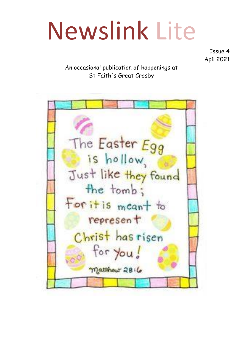# Newslink Lite

Issue 4 Apil 2021

#### An occasional publication of happenings at St Faith's Great Crosby

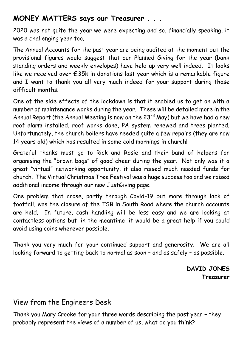## **MONEY MATTERS says our Treasurer . . .**

2020 was not quite the year we were expecting and so, financially speaking, it was a challenging year too.

The Annual Accounts for the past year are being audited at the moment but the provisional figures would suggest that our Planned Giving for the year (bank standing orders and weekly envelopes) have held up very well indeed. It looks like we received over £35k in donations last year which is a remarkable figure and I want to thank you all very much indeed for your support during those difficult months.

One of the side effects of the lockdown is that it enabled us to get on with a number of maintenance works during the year. These will be detailed more in the Annual Report (the Annual Meeting is now on the  $23^{rd}$  May) but we have had a new roof alarm installed, roof works done, PA system renewed and trees planted. Unfortunately, the church boilers have needed quite a few repairs (they are now 14 years old) which has resulted in some cold mornings in church!

Grateful thanks must go to Rick and Rosie and their band of helpers for organising the "brown bags" of good cheer during the year. Not only was it a great "virtual" networking opportunity, it also raised much needed funds for church. The Virtual Christmas Tree Festival was a huge success too and we raised additional income through our new JustGiving page.

One problem that arose, partly through Covid-19 but more through lack of footfall, was the closure of the TSB in South Road where the church accounts are held. In future, cash handling will be less easy and we are looking at contactless options but, in the meantime, it would be a great help if you could avoid using coins wherever possible.

Thank you very much for your continued support and generosity. We are all looking forward to getting back to normal as soon – and as safely – as possible.

> **DAVID JONES Treasurer**

## View from the Engineers Desk

Thank you Mary Crooke for your three words describing the past year – they probably represent the views of a number of us, what do you think?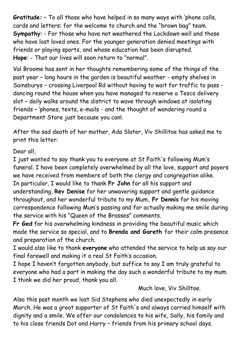**Gratitude:** – To all those who have helped in so many ways with 'phone calls, cards and letters: for the welcome to church and the "brown bag" team. **Sympathy**: - For those who have not weathered the Lockdown well and those who have lost loved ones. For the younger generation denied meetings with friends or playing sports, and whose education has been disrupted. **Hope**: - That our lives will soon return to "normal".

Val Broome has sent in her thoughts remembering some of the things of the past year – long hours in the garden is beautiful weather - empty shelves in Sainsburys – crossing Liverpool Rd without having to wait for traffic to pass dancing round the house when you have managed to reserve a Tesco delivery slot – daily walks around the district to wave through windows at isolating friends – 'phones, texts, e-mails - and the thought of wandering round a Department Store just because you can!.

After the sad death of her mother, Ada Slater, Viv Shillitoe has asked me to print this letter:

Dear all,

I just wanted to say thank you to everyone at St Faith's following Mum's funeral. I have been completely overwhelmed by all the love, support and payers we have received from members of both the clergy and congregation alike. In particular, I would like to thank **Fr John** for all his support and understanding, **Rev Denise** for her unwavering support and gentle guidance throughout, and her wonderful tribute to my Mum, **Fr Dennis** for his moving correspondence following Mum's passing and for actually making me smile during the service with his "Queen of the Brasses" comments.

**Fr Ged** for his overwhelming kindness in providing the beautiful music which made the service so special, and to **Brenda and Gareth** for their calm presence and preparation of the church.

I would also like to thank **everyone** who attended the service to help us say our final farewell and making it a real St Faith's occasion.

I hope I haven't forgotten anybody, but suffice to say I am truly grateful to everyone who had a part in making the day such a wonderful tribute to my mum. I think we did her proud, thank you all.

Much love, Viv Shilltoe.

Also this past month we lost Sid Stephens who died unexpectedly in early March. He was a great supporter of St Faith's and always carried himself with dignity and a smile. We offer our condolences to his wife, Sally, his family and to his close friends Dot and Harry – friends from his primary school days.